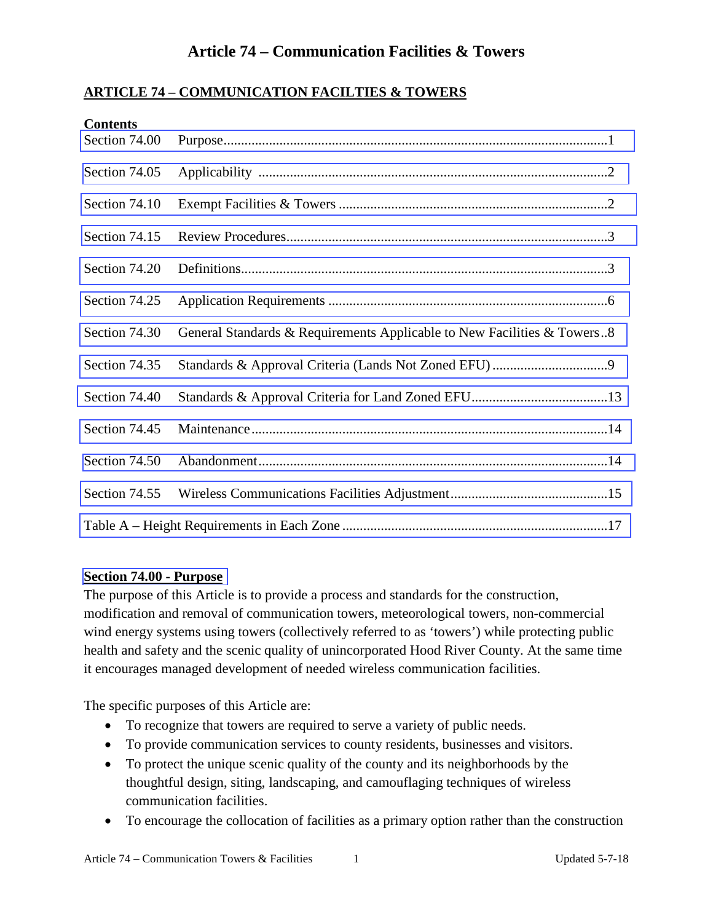### **ARTICLE 74 – COMMUNICATION FACILTIES & TOWERS**

| <b>Contents</b><br>Section 74.00 |                                                                         |
|----------------------------------|-------------------------------------------------------------------------|
| Section 74.05                    |                                                                         |
| Section 74.10                    |                                                                         |
| Section 74.15                    |                                                                         |
| Section 74.20                    |                                                                         |
| Section 74.25                    |                                                                         |
| Section 74.30                    | General Standards & Requirements Applicable to New Facilities & Towers8 |
| Section 74.35                    |                                                                         |
| Section 74.40                    |                                                                         |
| Section 74.45                    |                                                                         |
| Section 74.50                    |                                                                         |
| Section 74.55                    |                                                                         |
|                                  |                                                                         |

#### **Section 74.00 - Purpose**

The purpose of this Article is to provide a process and standards for the construction, modification and removal of communication towers, meteorological towers, non-commercial wind energy systems using towers (collectively referred to as 'towers') while protecting public health and safety and the scenic quality of unincorporated Hood River County. At the same time it encourages managed development of needed wireless communication facilities.

The specific purposes of this Article are:

- To recognize that towers are required to serve a variety of public needs.
- To provide communication services to county residents, businesses and visitors.
- To protect the unique scenic quality of the county and its neighborhoods by the thoughtful design, siting, landscaping, and camouflaging techniques of wireless communication facilities.
- To encourage the collocation of facilities as a primary option rather than the construction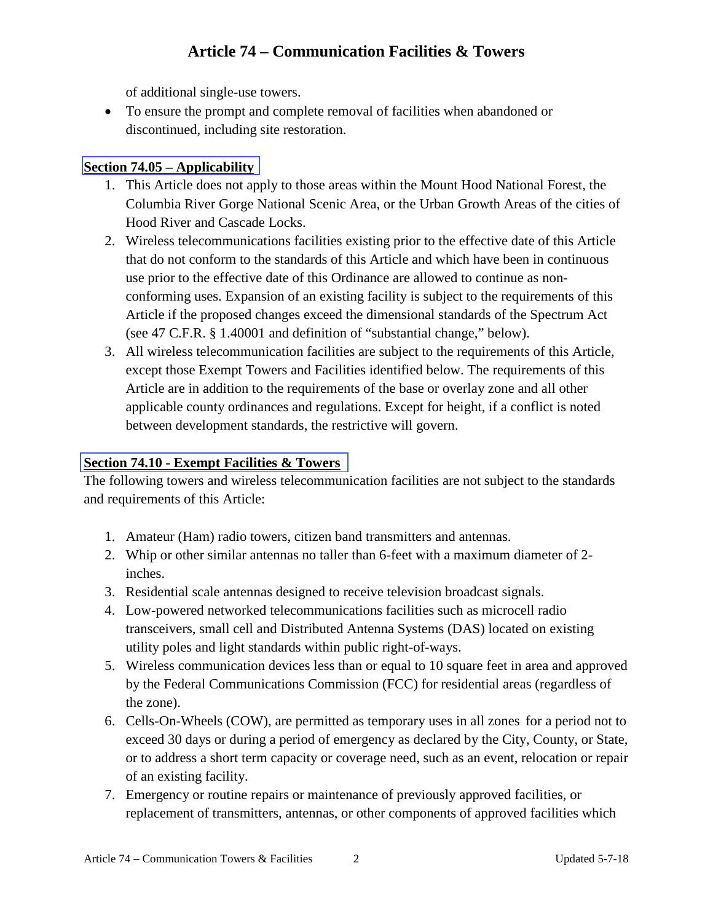of additional single-use towers.

<span id="page-1-0"></span>• To ensure the prompt and complete removal of facilities when abandoned or discontinued, including site restoration.

### **Section 74.05 – Applicability**

- 1. This Article does not apply to those areas within the Mount Hood National Forest, the Columbia River Gorge National Scenic Area, or the Urban Growth Areas of the cities of Hood River and Cascade Locks.
- 2. Wireless telecommunications facilities existing prior to the effective date of this Article that do not conform to the standards of this Article and which have been in continuous use prior to the effective date of this Ordinance are allowed to continue as nonconforming uses. Expansion of an existing facility is subject to the requirements of this Article if the proposed changes exceed the dimensional standards of the Spectrum Act (see 47 C.F.R. § 1.40001 and definition of "substantial change," below).
- 3. All wireless telecommunication facilities are subject to the requirements of this Article, except those Exempt Towers and Facilities identified below. The requirements of this Article are in addition to the requirements of the base or overlay zone and all other applicable county ordinances and regulations. Except for height, if a conflict is noted between development standards, the restrictive will govern.

### **Section 74.10 - Exempt Facilities & Towers**

The following towers and wireless telecommunication facilities are not subject to the standards and requirements of this Article:

- 1. Amateur (Ham) radio towers, citizen band transmitters and antennas.
- 2. Whip or other similar antennas no taller than 6-feet with a maximum diameter of 2 inches.
- 3. Residential scale antennas designed to receive television broadcast signals.
- 4. Low-powered networked telecommunications facilities such as microcell radio transceivers, small cell and Distributed Antenna Systems (DAS) located on existing utility poles and light standards within public right-of-ways.
- 5. Wireless communication devices less than or equal to 10 square feet in area and approved by the Federal Communications Commission (FCC) for residential areas (regardless of the zone).
- 6. Cells-On-Wheels (COW), are permitted as temporary uses in all zones for a period not to exceed 30 days or during a period of emergency as declared by the City, County, or State, or to address a short term capacity or coverage need, such as an event, relocation or repair of an existing facility.
- 7. Emergency or routine repairs or maintenance of previously approved facilities, or replacement of transmitters, antennas, or other components of approved facilities which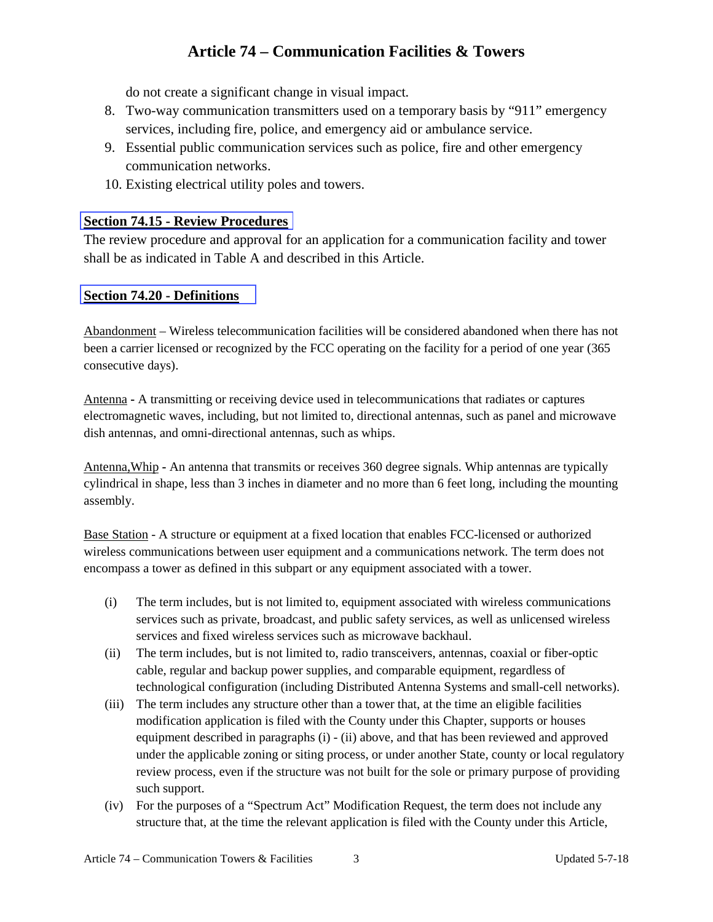do not create a significant change in visual impact*.*

- <span id="page-2-0"></span>8. Two-way communication transmitters used on a temporary basis by "911" emergency services, including fire, police, and emergency aid or ambulance service.
- 9. Essential public communication services such as police, fire and other emergency communication networks.
- 10. Existing electrical utility poles and towers.

### **Section 74.15 - Review Procedures**

The review procedure and approval for an application for a communication facility and tower shall be as indicated in Table A and described in this Article.

### **Section 74.20 - Definitions**

Abandonment – Wireless telecommunication facilities will be considered abandoned when there has not been a carrier licensed or recognized by the FCC operating on the facility for a period of one year (365 consecutive days).

Antenna **-** A transmitting or receiving device used in telecommunications that radiates or captures electromagnetic waves, including, but not limited to, directional antennas, such as panel and microwave dish antennas, and omni-directional antennas, such as whips.

Antenna,Whip **-** An antenna that transmits or receives 360 degree signals. Whip antennas are typically cylindrical in shape, less than 3 inches in diameter and no more than 6 feet long, including the mounting assembly.

Base Station - A structure or equipment at a fixed location that enables FCC-licensed or authorized wireless communications between user equipment and a communications network. The term does not encompass a tower as defined in this subpart or any equipment associated with a tower.

- (i) The term includes, but is not limited to, equipment associated with wireless communications services such as private, broadcast, and public safety services, as well as unlicensed wireless services and fixed wireless services such as microwave backhaul.
- (ii) The term includes, but is not limited to, radio transceivers, antennas, coaxial or fiber-optic cable, regular and backup power supplies, and comparable equipment, regardless of technological configuration (including Distributed Antenna Systems and small-cell networks).
- (iii) The term includes any structure other than a tower that, at the time an eligible facilities modification application is filed with the County under this Chapter, supports or houses equipment described in paragraphs (i) - (ii) above, and that has been reviewed and approved under the applicable zoning or siting process, or under another State, county or local regulatory review process, even if the structure was not built for the sole or primary purpose of providing such support.
- (iv) For the purposes of a "Spectrum Act" Modification Request, the term does not include any structure that, at the time the relevant application is filed with the County under this Article,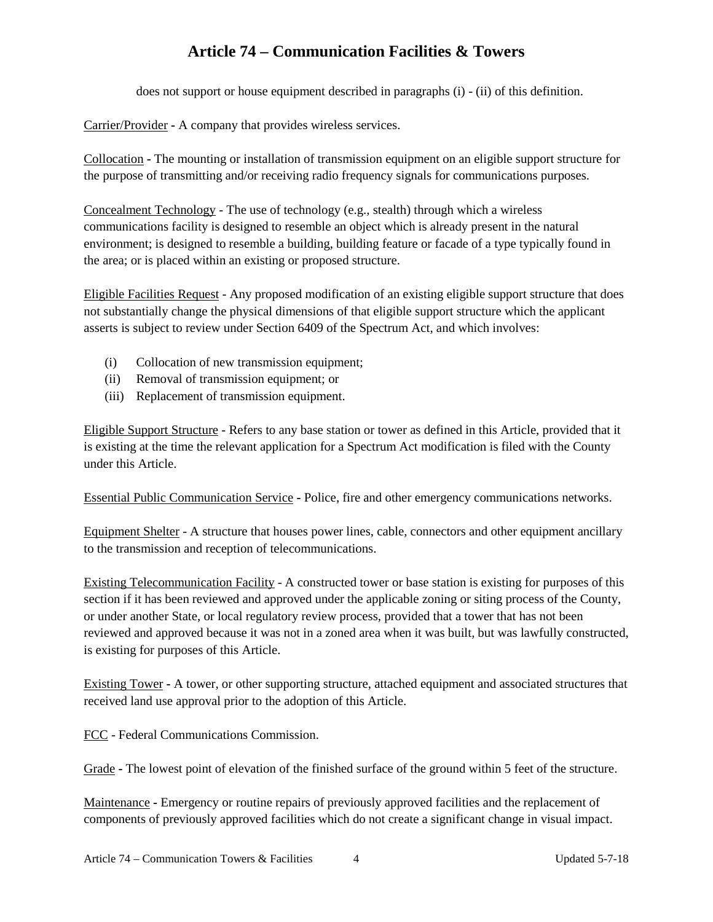does not support or house equipment described in paragraphs (i) - (ii) of this definition.

Carrier/Provider **-** A company that provides wireless services.

Collocation **-** The mounting or installation of transmission equipment on an eligible support structure for the purpose of transmitting and/or receiving radio frequency signals for communications purposes.

Concealment Technology - The use of technology (e.g., stealth) through which a wireless communications facility is designed to resemble an object which is already present in the natural environment; is designed to resemble a building, building feature or facade of a type typically found in the area; or is placed within an existing or proposed structure.

Eligible Facilities Request - Any proposed modification of an existing eligible support structure that does not substantially change the physical dimensions of that eligible support structure which the applicant asserts is subject to review under Section 6409 of the Spectrum Act, and which involves:

- (i) Collocation of new transmission equipment;
- (ii) Removal of transmission equipment; or
- (iii) Replacement of transmission equipment.

Eligible Support Structure - Refers to any base station or tower as defined in this Article, provided that it is existing at the time the relevant application for a Spectrum Act modification is filed with the County under this Article.

Essential Public Communication Service **-** Police, fire and other emergency communications networks.

Equipment Shelter - A structure that houses power lines, cable, connectors and other equipment ancillary to the transmission and reception of telecommunications.

Existing Telecommunication Facility - A constructed tower or base station is existing for purposes of this section if it has been reviewed and approved under the applicable zoning or siting process of the County, or under another State, or local regulatory review process, provided that a tower that has not been reviewed and approved because it was not in a zoned area when it was built, but was lawfully constructed, is existing for purposes of this Article.

Existing Tower **-** A tower, or other supporting structure, attached equipment and associated structures that received land use approval prior to the adoption of this Article.

FCC - Federal Communications Commission.

Grade **-** The lowest point of elevation of the finished surface of the ground within 5 feet of the structure.

Maintenance **-** Emergency or routine repairs of previously approved facilities and the replacement of components of previously approved facilities which do not create a significant change in visual impact.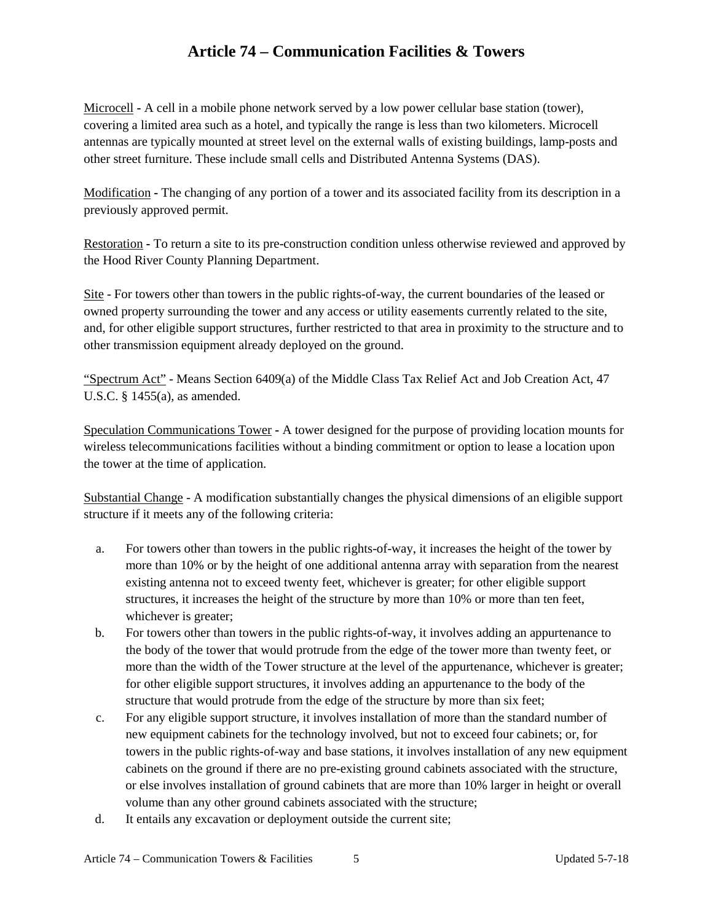Microcell **-** A cell in a mobile phone network served by a low power cellular base station (tower), covering a limited area such as a hotel, and typically the range is less than two kilometers. Microcell antennas are typically mounted at street level on the external walls of existing buildings, lamp-posts and other street furniture. These include small cells and Distributed Antenna Systems (DAS).

Modification **-** The changing of any portion of a tower and its associated facility from its description in a previously approved permit.

Restoration **-** To return a site to its pre-construction condition unless otherwise reviewed and approved by the Hood River County Planning Department.

Site - For towers other than towers in the public rights-of-way, the current boundaries of the leased or owned property surrounding the tower and any access or utility easements currently related to the site, and, for other eligible support structures, further restricted to that area in proximity to the structure and to other transmission equipment already deployed on the ground.

"Spectrum Act" - Means Section 6409(a) of the Middle Class Tax Relief Act and Job Creation Act, 47 U.S.C. § 1455(a), as amended.

Speculation Communications Tower **-** A tower designed for the purpose of providing location mounts for wireless telecommunications facilities without a binding commitment or option to lease a location upon the tower at the time of application.

Substantial Change - A modification substantially changes the physical dimensions of an eligible support structure if it meets any of the following criteria:

- a. For towers other than towers in the public rights-of-way, it increases the height of the tower by more than 10% or by the height of one additional antenna array with separation from the nearest existing antenna not to exceed twenty feet, whichever is greater; for other eligible support structures, it increases the height of the structure by more than 10% or more than ten feet, whichever is greater;
- b. For towers other than towers in the public rights-of-way, it involves adding an appurtenance to the body of the tower that would protrude from the edge of the tower more than twenty feet, or more than the width of the Tower structure at the level of the appurtenance, whichever is greater; for other eligible support structures, it involves adding an appurtenance to the body of the structure that would protrude from the edge of the structure by more than six feet;
- c. For any eligible support structure, it involves installation of more than the standard number of new equipment cabinets for the technology involved, but not to exceed four cabinets; or, for towers in the public rights-of-way and base stations, it involves installation of any new equipment cabinets on the ground if there are no pre-existing ground cabinets associated with the structure, or else involves installation of ground cabinets that are more than 10% larger in height or overall volume than any other ground cabinets associated with the structure;
- d. It entails any excavation or deployment outside the current site;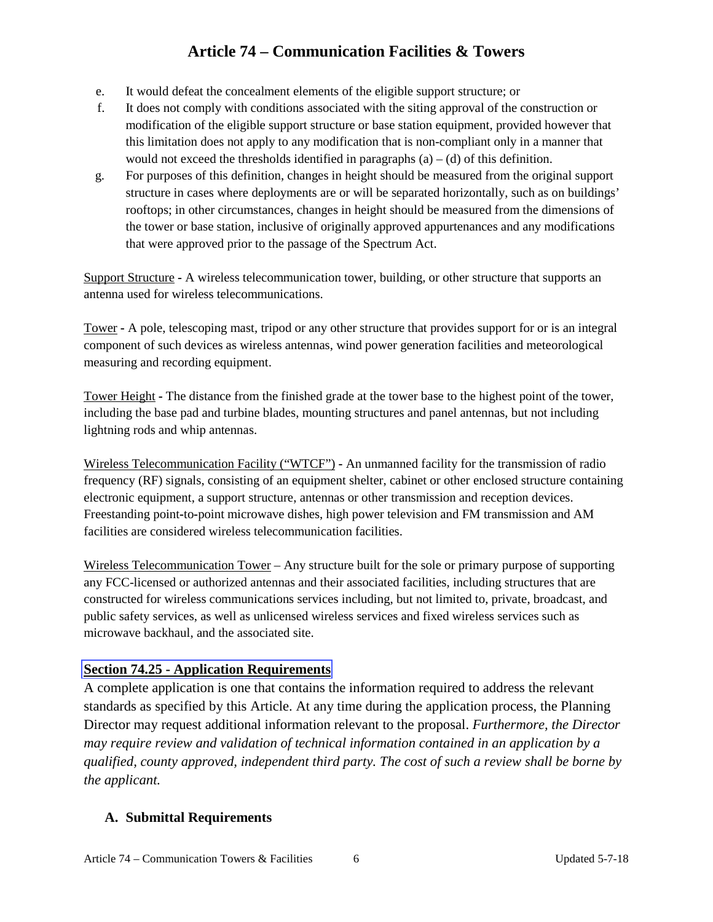- <span id="page-5-0"></span>e. It would defeat the concealment elements of the eligible support structure; or
- f. It does not comply with conditions associated with the siting approval of the construction or modification of the eligible support structure or base station equipment, provided however that this limitation does not apply to any modification that is non-compliant only in a manner that would not exceed the thresholds identified in paragraphs  $(a) - (d)$  of this definition.
- g. For purposes of this definition, changes in height should be measured from the original support structure in cases where deployments are or will be separated horizontally, such as on buildings' rooftops; in other circumstances, changes in height should be measured from the dimensions of the tower or base station, inclusive of originally approved appurtenances and any modifications that were approved prior to the passage of the Spectrum Act.

Support Structure **-** A wireless telecommunication tower, building, or other structure that supports an antenna used for wireless telecommunications.

Tower **-** A pole, telescoping mast, tripod or any other structure that provides support for or is an integral component of such devices as wireless antennas, wind power generation facilities and meteorological measuring and recording equipment.

Tower Height **-** The distance from the finished grade at the tower base to the highest point of the tower, including the base pad and turbine blades, mounting structures and panel antennas, but not including lightning rods and whip antennas.

Wireless Telecommunication Facility ("WTCF") **-** An unmanned facility for the transmission of radio frequency (RF) signals, consisting of an equipment shelter, cabinet or other enclosed structure containing electronic equipment, a support structure, antennas or other transmission and reception devices. Freestanding point**-**to**-**point microwave dishes, high power television and FM transmission and AM facilities are considered wireless telecommunication facilities.

Wireless Telecommunication Tower – Any structure built for the sole or primary purpose of supporting any FCC-licensed or authorized antennas and their associated facilities, including structures that are constructed for wireless communications services including, but not limited to, private, broadcast, and public safety services, as well as unlicensed wireless services and fixed wireless services such as microwave backhaul, and the associated site.

### **Section 74.25 - Application Requirements**

A complete application is one that contains the information required to address the relevant standards as specified by this Article. At any time during the application process, the Planning Director may request additional information relevant to the proposal. *Furthermore, the Director may require review and validation of technical information contained in an application by a qualified, county approved, independent third party. The cost of such a review shall be borne by the applicant.*

### **A. Submittal Requirements**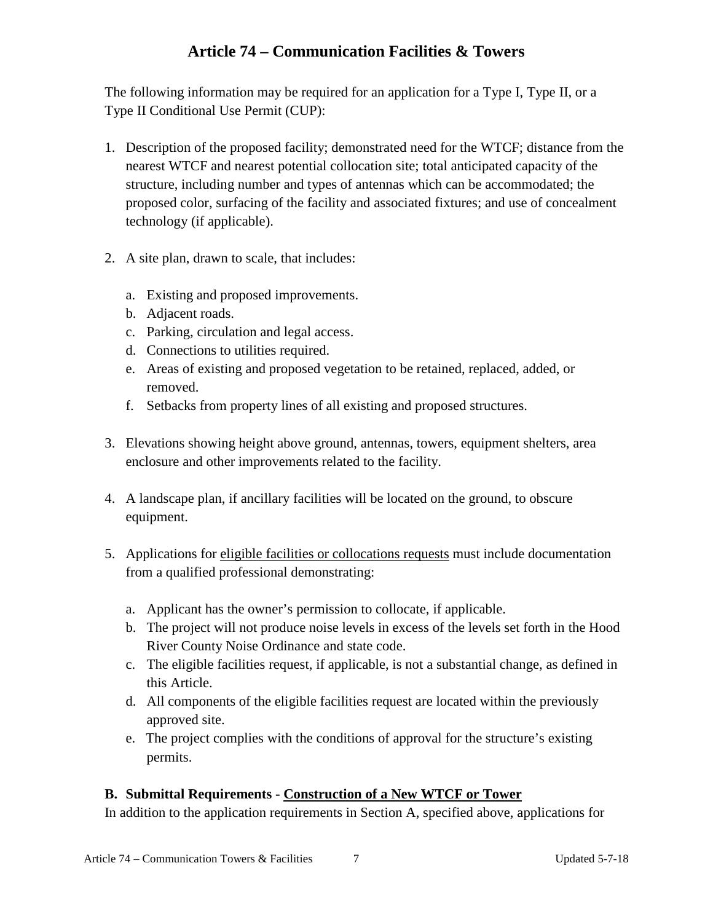The following information may be required for an application for a Type I, Type II, or a Type II Conditional Use Permit (CUP):

- 1. Description of the proposed facility; demonstrated need for the WTCF; distance from the nearest WTCF and nearest potential collocation site; total anticipated capacity of the structure, including number and types of antennas which can be accommodated; the proposed color, surfacing of the facility and associated fixtures; and use of concealment technology (if applicable).
- 2. A site plan, drawn to scale, that includes:
	- a. Existing and proposed improvements.
	- b. Adjacent roads.
	- c. Parking, circulation and legal access.
	- d. Connections to utilities required.
	- e. Areas of existing and proposed vegetation to be retained, replaced, added, or removed.
	- f. Setbacks from property lines of all existing and proposed structures.
- 3. Elevations showing height above ground, antennas, towers, equipment shelters, area enclosure and other improvements related to the facility.
- 4. A landscape plan, if ancillary facilities will be located on the ground, to obscure equipment.
- 5. Applications for eligible facilities or collocations requests must include documentation from a qualified professional demonstrating:
	- a. Applicant has the owner's permission to collocate, if applicable.
	- b. The project will not produce noise levels in excess of the levels set forth in the Hood River County Noise Ordinance and state code.
	- c. The eligible facilities request, if applicable, is not a substantial change, as defined in this Article.
	- d. All components of the eligible facilities request are located within the previously approved site.
	- e. The project complies with the conditions of approval for the structure's existing permits.

### **B. Submittal Requirements - Construction of a New WTCF or Tower**

In addition to the application requirements in Section A, specified above, applications for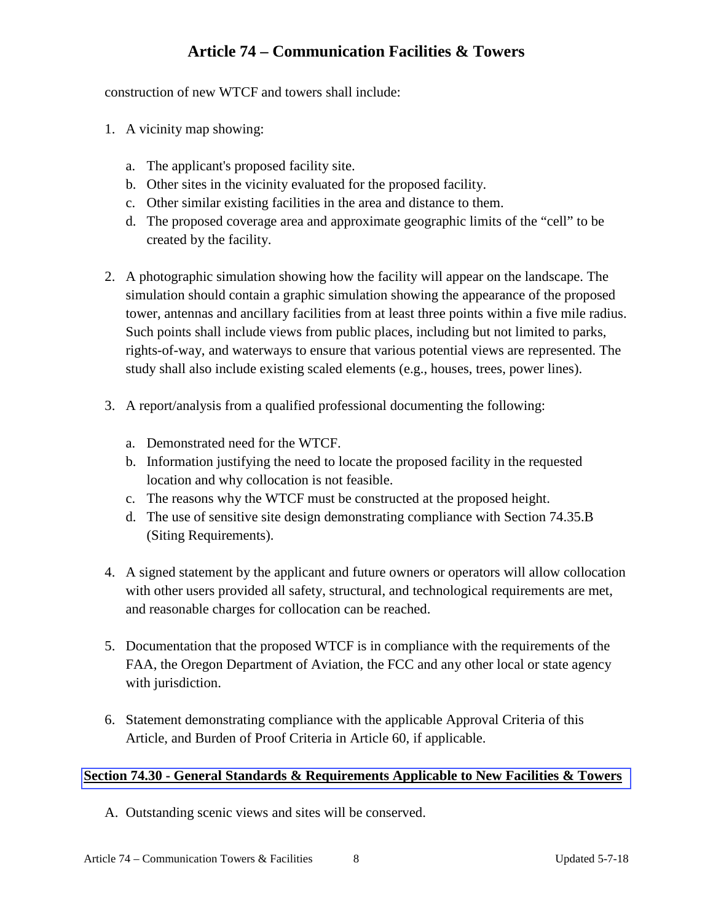<span id="page-7-0"></span>construction of new WTCF and towers shall include:

- 1. A vicinity map showing:
	- a. The applicant's proposed facility site.
	- b. Other sites in the vicinity evaluated for the proposed facility.
	- c. Other similar existing facilities in the area and distance to them.
	- d. The proposed coverage area and approximate geographic limits of the "cell" to be created by the facility.
- 2. A photographic simulation showing how the facility will appear on the landscape. The simulation should contain a graphic simulation showing the appearance of the proposed tower, antennas and ancillary facilities from at least three points within a five mile radius. Such points shall include views from public places, including but not limited to parks, rights-of-way, and waterways to ensure that various potential views are represented. The study shall also include existing scaled elements (e.g., houses, trees, power lines).
- 3. A report/analysis from a qualified professional documenting the following:
	- a. Demonstrated need for the WTCF.
	- b. Information justifying the need to locate the proposed facility in the requested location and why collocation is not feasible.
	- c. The reasons why the WTCF must be constructed at the proposed height.
	- d. The use of sensitive site design demonstrating compliance with Section 74.35.B (Siting Requirements).
- 4. A signed statement by the applicant and future owners or operators will allow collocation with other users provided all safety, structural, and technological requirements are met, and reasonable charges for collocation can be reached.
- 5. Documentation that the proposed WTCF is in compliance with the requirements of the FAA, the Oregon Department of Aviation, the FCC and any other local or state agency with jurisdiction.
- 6. Statement demonstrating compliance with the applicable Approval Criteria of this Article, and Burden of Proof Criteria in Article 60, if applicable.

#### **Section 74.30 - General Standards & Requirements Applicable to New Facilities & Towers**

A. Outstanding scenic views and sites will be conserved.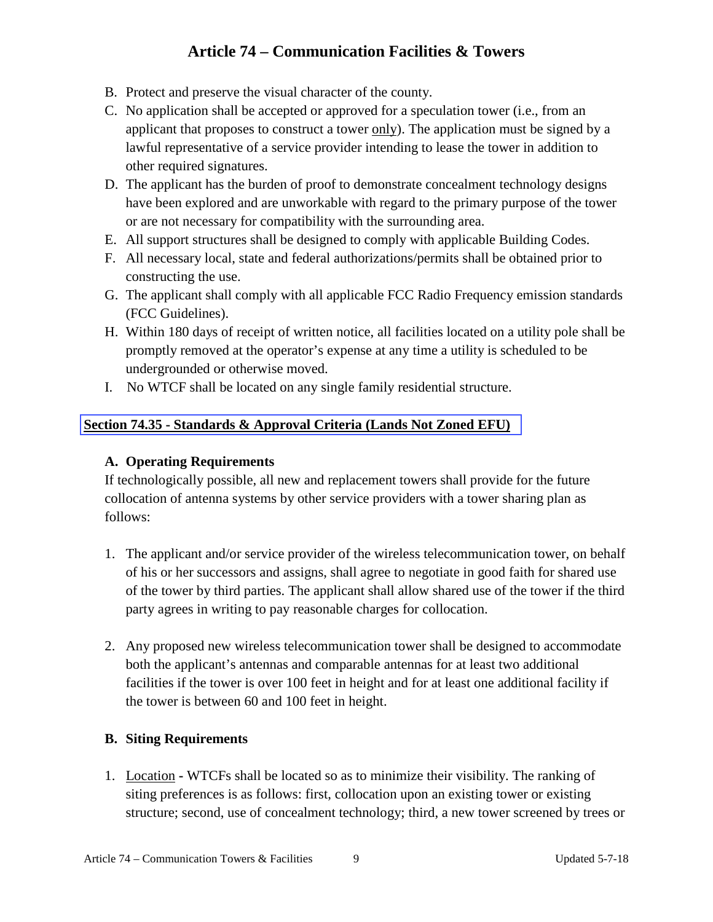- <span id="page-8-0"></span>B. Protect and preserve the visual character of the county.
- C. No application shall be accepted or approved for a speculation tower (i.e., from an applicant that proposes to construct a tower only). The application must be signed by a lawful representative of a service provider intending to lease the tower in addition to other required signatures.
- D. The applicant has the burden of proof to demonstrate concealment technology designs have been explored and are unworkable with regard to the primary purpose of the tower or are not necessary for compatibility with the surrounding area.
- E. All support structures shall be designed to comply with applicable Building Codes.
- F. All necessary local, state and federal authorizations/permits shall be obtained prior to constructing the use.
- G. The applicant shall comply with all applicable FCC Radio Frequency emission standards (FCC Guidelines).
- H. Within 180 days of receipt of written notice, all facilities located on a utility pole shall be promptly removed at the operator's expense at any time a utility is scheduled to be undergrounded or otherwise moved.
- I. No WTCF shall be located on any single family residential structure.

### **Section 74.35 - Standards & Approval Criteria (Lands Not Zoned EFU)**

#### **A. Operating Requirements**

If technologically possible, all new and replacement towers shall provide for the future collocation of antenna systems by other service providers with a tower sharing plan as follows:

- 1. The applicant and/or service provider of the wireless telecommunication tower, on behalf of his or her successors and assigns, shall agree to negotiate in good faith for shared use of the tower by third parties. The applicant shall allow shared use of the tower if the third party agrees in writing to pay reasonable charges for collocation.
- 2. Any proposed new wireless telecommunication tower shall be designed to accommodate both the applicant's antennas and comparable antennas for at least two additional facilities if the tower is over 100 feet in height and for at least one additional facility if the tower is between 60 and 100 feet in height.

#### **B. Siting Requirements**

1. Location **-** WTCFs shall be located so as to minimize their visibility. The ranking of siting preferences is as follows: first, collocation upon an existing tower or existing structure; second, use of concealment technology; third, a new tower screened by trees or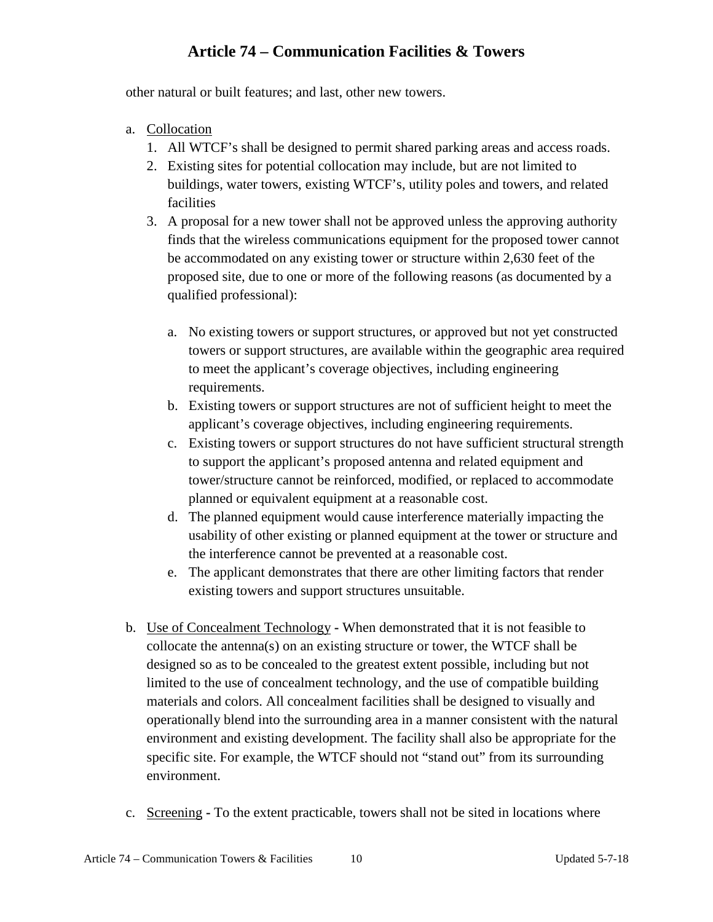other natural or built features; and last, other new towers.

- a. Collocation
	- 1. All WTCF's shall be designed to permit shared parking areas and access roads.
	- 2. Existing sites for potential collocation may include, but are not limited to buildings, water towers, existing WTCF's, utility poles and towers, and related facilities
	- 3. A proposal for a new tower shall not be approved unless the approving authority finds that the wireless communications equipment for the proposed tower cannot be accommodated on any existing tower or structure within 2,630 feet of the proposed site, due to one or more of the following reasons (as documented by a qualified professional):
		- a. No existing towers or support structures, or approved but not yet constructed towers or support structures, are available within the geographic area required to meet the applicant's coverage objectives, including engineering requirements.
		- b. Existing towers or support structures are not of sufficient height to meet the applicant's coverage objectives, including engineering requirements.
		- c. Existing towers or support structures do not have sufficient structural strength to support the applicant's proposed antenna and related equipment and tower/structure cannot be reinforced, modified, or replaced to accommodate planned or equivalent equipment at a reasonable cost.
		- d. The planned equipment would cause interference materially impacting the usability of other existing or planned equipment at the tower or structure and the interference cannot be prevented at a reasonable cost.
		- e. The applicant demonstrates that there are other limiting factors that render existing towers and support structures unsuitable.
- b. Use of Concealment Technology **-** When demonstrated that it is not feasible to collocate the antenna(s) on an existing structure or tower, the WTCF shall be designed so as to be concealed to the greatest extent possible, including but not limited to the use of concealment technology, and the use of compatible building materials and colors. All concealment facilities shall be designed to visually and operationally blend into the surrounding area in a manner consistent with the natural environment and existing development. The facility shall also be appropriate for the specific site. For example, the WTCF should not "stand out" from its surrounding environment.
- c. Screening **-** To the extent practicable, towers shall not be sited in locations where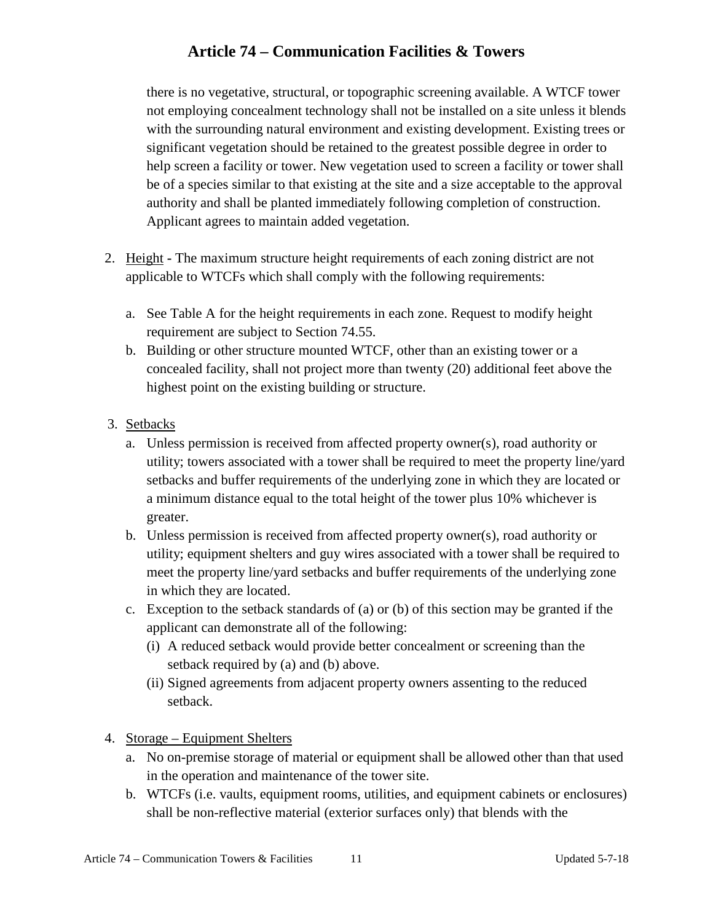there is no vegetative, structural, or topographic screening available. A WTCF tower not employing concealment technology shall not be installed on a site unless it blends with the surrounding natural environment and existing development. Existing trees or significant vegetation should be retained to the greatest possible degree in order to help screen a facility or tower. New vegetation used to screen a facility or tower shall be of a species similar to that existing at the site and a size acceptable to the approval authority and shall be planted immediately following completion of construction. Applicant agrees to maintain added vegetation.

- 2. Height **-** The maximum structure height requirements of each zoning district are not applicable to WTCFs which shall comply with the following requirements:
	- a. See Table A for the height requirements in each zone. Request to modify height requirement are subject to Section 74.55.
	- b. Building or other structure mounted WTCF, other than an existing tower or a concealed facility, shall not project more than twenty (20) additional feet above the highest point on the existing building or structure.
- 3. Setbacks
	- a. Unless permission is received from affected property owner(s), road authority or utility; towers associated with a tower shall be required to meet the property line/yard setbacks and buffer requirements of the underlying zone in which they are located or a minimum distance equal to the total height of the tower plus 10% whichever is greater.
	- b. Unless permission is received from affected property owner(s), road authority or utility; equipment shelters and guy wires associated with a tower shall be required to meet the property line/yard setbacks and buffer requirements of the underlying zone in which they are located.
	- c. Exception to the setback standards of (a) or (b) of this section may be granted if the applicant can demonstrate all of the following:
		- (i) A reduced setback would provide better concealment or screening than the setback required by (a) and (b) above.
		- (ii) Signed agreements from adjacent property owners assenting to the reduced setback.
- 4. Storage Equipment Shelters
	- a. No on-premise storage of material or equipment shall be allowed other than that used in the operation and maintenance of the tower site.
	- b. WTCFs (i.e. vaults, equipment rooms, utilities, and equipment cabinets or enclosures) shall be non-reflective material (exterior surfaces only) that blends with the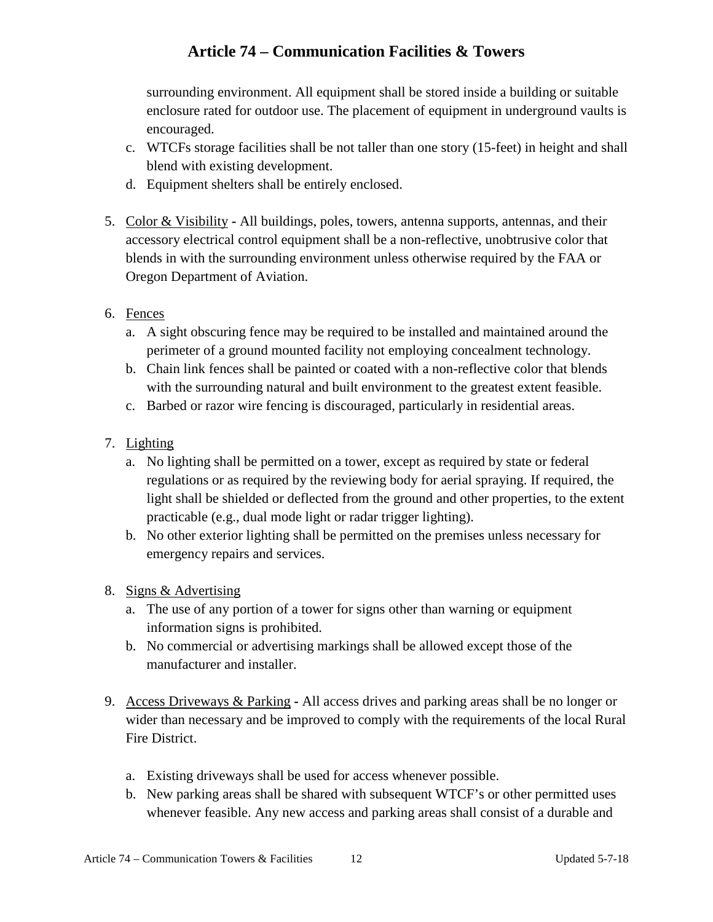surrounding environment. All equipment shall be stored inside a building or suitable enclosure rated for outdoor use. The placement of equipment in underground vaults is encouraged.

- c. WTCFs storage facilities shall be not taller than one story (15-feet) in height and shall blend with existing development.
- d. Equipment shelters shall be entirely enclosed.
- 5. Color & Visibility **-** All buildings, poles, towers, antenna supports, antennas, and their accessory electrical control equipment shall be a non-reflective, unobtrusive color that blends in with the surrounding environment unless otherwise required by the FAA or Oregon Department of Aviation.
- 6. Fences
	- a. A sight obscuring fence may be required to be installed and maintained around the perimeter of a ground mounted facility not employing concealment technology.
	- b. Chain link fences shall be painted or coated with a non-reflective color that blends with the surrounding natural and built environment to the greatest extent feasible.
	- c. Barbed or razor wire fencing is discouraged, particularly in residential areas.
- 7. Lighting
	- a. No lighting shall be permitted on a tower, except as required by state or federal regulations or as required by the reviewing body for aerial spraying. If required, the light shall be shielded or deflected from the ground and other properties, to the extent practicable (e.g., dual mode light or radar trigger lighting).
	- b. No other exterior lighting shall be permitted on the premises unless necessary for emergency repairs and services.
- 8. Signs & Advertising
	- a. The use of any portion of a tower for signs other than warning or equipment information signs is prohibited.
	- b. No commercial or advertising markings shall be allowed except those of the manufacturer and installer.
- 9. Access Driveways & Parking **-** All access drives and parking areas shall be no longer or wider than necessary and be improved to comply with the requirements of the local Rural Fire District.
	- a. Existing driveways shall be used for access whenever possible.
	- b. New parking areas shall be shared with subsequent WTCF's or other permitted uses whenever feasible. Any new access and parking areas shall consist of a durable and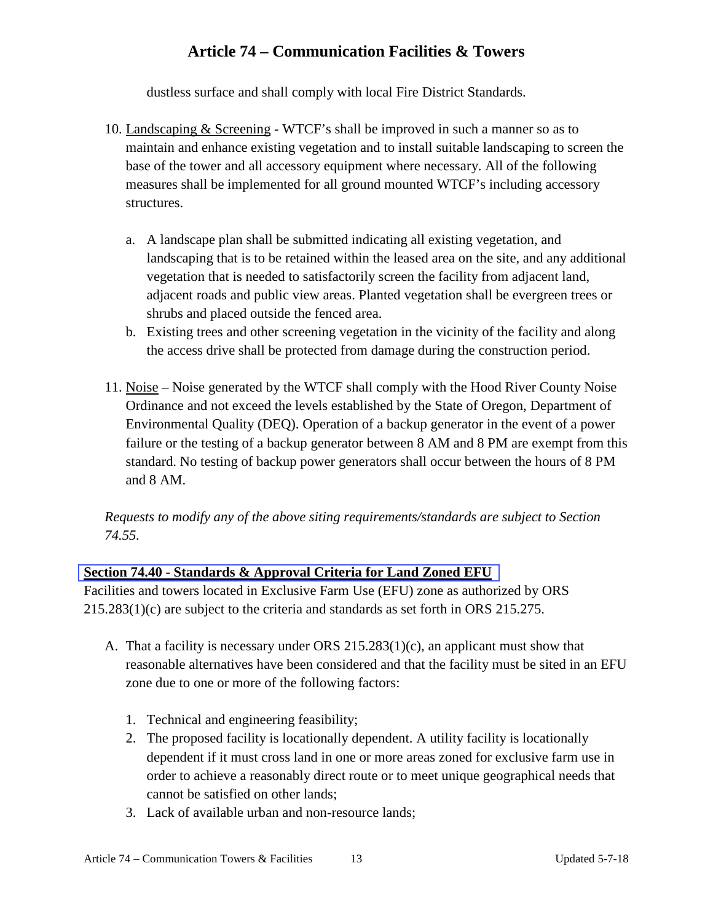dustless surface and shall comply with local Fire District Standards.

- <span id="page-12-0"></span>10. Landscaping & Screening **-** WTCF's shall be improved in such a manner so as to maintain and enhance existing vegetation and to install suitable landscaping to screen the base of the tower and all accessory equipment where necessary. All of the following measures shall be implemented for all ground mounted WTCF's including accessory structures.
	- a. A landscape plan shall be submitted indicating all existing vegetation, and landscaping that is to be retained within the leased area on the site, and any additional vegetation that is needed to satisfactorily screen the facility from adjacent land, adjacent roads and public view areas. Planted vegetation shall be evergreen trees or shrubs and placed outside the fenced area.
	- b. Existing trees and other screening vegetation in the vicinity of the facility and along the access drive shall be protected from damage during the construction period.
- 11. Noise Noise generated by the WTCF shall comply with the Hood River County Noise Ordinance and not exceed the levels established by the State of Oregon, Department of Environmental Quality (DEQ). Operation of a backup generator in the event of a power failure or the testing of a backup generator between 8 AM and 8 PM are exempt from this standard. No testing of backup power generators shall occur between the hours of 8 PM and 8 AM.

*Requests to modify any of the above siting requirements/standards are subject to Section 74.55.*

### **Section 74.40 - Standards & Approval Criteria for Land Zoned EFU**

Facilities and towers located in Exclusive Farm Use (EFU) zone as authorized by ORS 215.283(1)(c) are subject to the criteria and standards as set forth in ORS 215.275.

- A. That a facility is necessary under ORS 215.283(1)(c), an applicant must show that reasonable alternatives have been considered and that the facility must be sited in an EFU zone due to one or more of the following factors:
	- 1. Technical and engineering feasibility;
	- 2. The proposed facility is locationally dependent. A utility facility is locationally dependent if it must cross land in one or more areas zoned for exclusive farm use in order to achieve a reasonably direct route or to meet unique geographical needs that cannot be satisfied on other lands;
	- 3. Lack of available urban and non-resource lands;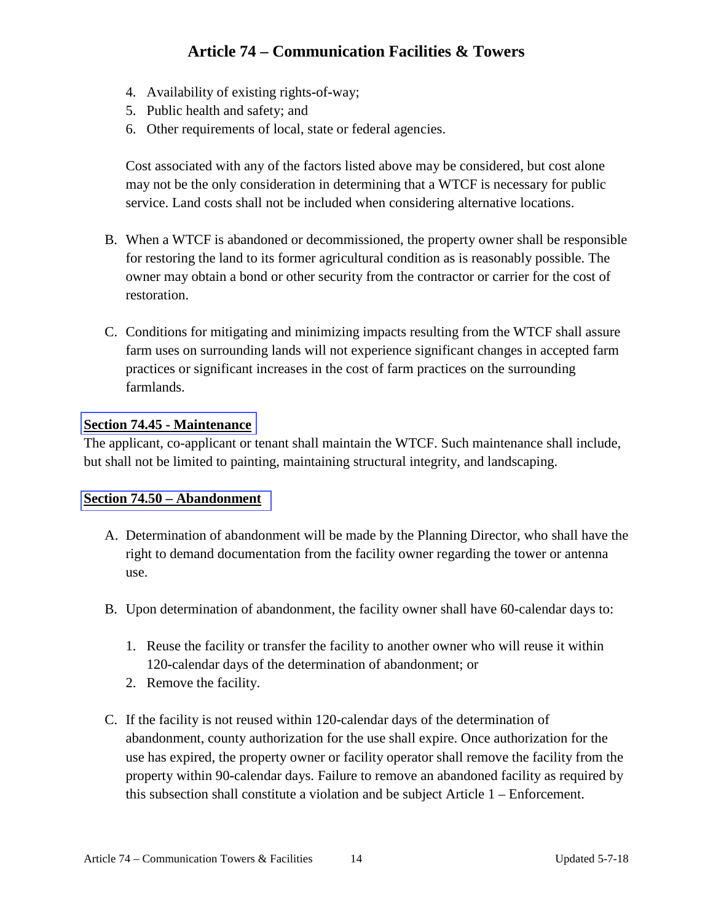- <span id="page-13-0"></span>4. Availability of existing rights**-**of**-**way;
- 5. Public health and safety; and
- 6. Other requirements of local, state or federal agencies.

Cost associated with any of the factors listed above may be considered, but cost alone may not be the only consideration in determining that a WTCF is necessary for public service. Land costs shall not be included when considering alternative locations.

- B. When a WTCF is abandoned or decommissioned, the property owner shall be responsible for restoring the land to its former agricultural condition as is reasonably possible. The owner may obtain a bond or other security from the contractor or carrier for the cost of restoration.
- C. Conditions for mitigating and minimizing impacts resulting from the WTCF shall assure farm uses on surrounding lands will not experience significant changes in accepted farm practices or significant increases in the cost of farm practices on the surrounding farmlands.

#### **Section 74.45 - Maintenance**

The applicant, co-applicant or tenant shall maintain the WTCF. Such maintenance shall include, but shall not be limited to painting, maintaining structural integrity, and landscaping.

#### **Section 74.50 – Abandonment**

- A. Determination of abandonment will be made by the Planning Director, who shall have the right to demand documentation from the facility owner regarding the tower or antenna use.
- B. Upon determination of abandonment, the facility owner shall have 60**-**calendar days to:
	- 1. Reuse the facility or transfer the facility to another owner who will reuse it within 120**-**calendar days of the determination of abandonment; or
	- 2. Remove the facility.
- C. If the facility is not reused within 120**-**calendar days of the determination of abandonment, county authorization for the use shall expire. Once authorization for the use has expired, the property owner or facility operator shall remove the facility from the property within 90**-**calendar days. Failure to remove an abandoned facility as required by this subsection shall constitute a violation and be subject Article 1 – Enforcement.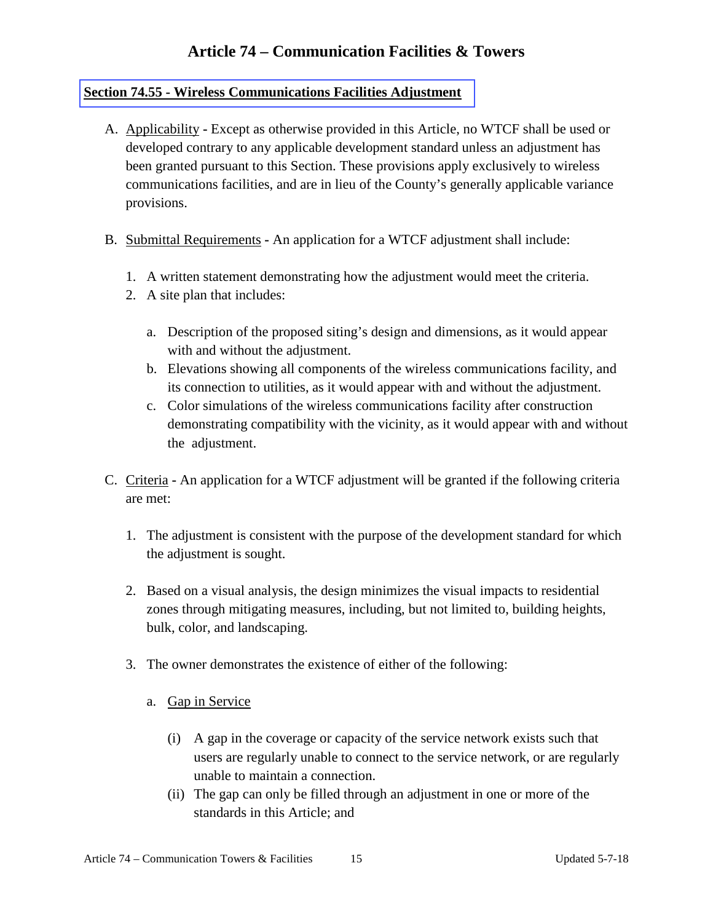### <span id="page-14-0"></span>**Section 74.55 - Wireless Communications Facilities Adjustment**

- A. Applicability **-** Except as otherwise provided in this Article, no WTCF shall be used or developed contrary to any applicable development standard unless an adjustment has been granted pursuant to this Section. These provisions apply exclusively to wireless communications facilities, and are in lieu of the County's generally applicable variance provisions.
- B. Submittal Requirements **-** An application for a WTCF adjustment shall include:
	- 1. A written statement demonstrating how the adjustment would meet the criteria.
	- 2. A site plan that includes:
		- a. Description of the proposed siting's design and dimensions, as it would appear with and without the adjustment.
		- b. Elevations showing all components of the wireless communications facility, and its connection to utilities, as it would appear with and without the adjustment.
		- c. Color simulations of the wireless communications facility after construction demonstrating compatibility with the vicinity, as it would appear with and without the adjustment.
- C. Criteria **-** An application for a WTCF adjustment will be granted if the following criteria are met:
	- 1. The adjustment is consistent with the purpose of the development standard for which the adjustment is sought.
	- 2. Based on a visual analysis, the design minimizes the visual impacts to residential zones through mitigating measures, including, but not limited to, building heights, bulk, color, and landscaping.
	- 3. The owner demonstrates the existence of either of the following:
		- a. Gap in Service
			- (i) A gap in the coverage or capacity of the service network exists such that users are regularly unable to connect to the service network, or are regularly unable to maintain a connection.
			- (ii) The gap can only be filled through an adjustment in one or more of the standards in this Article; and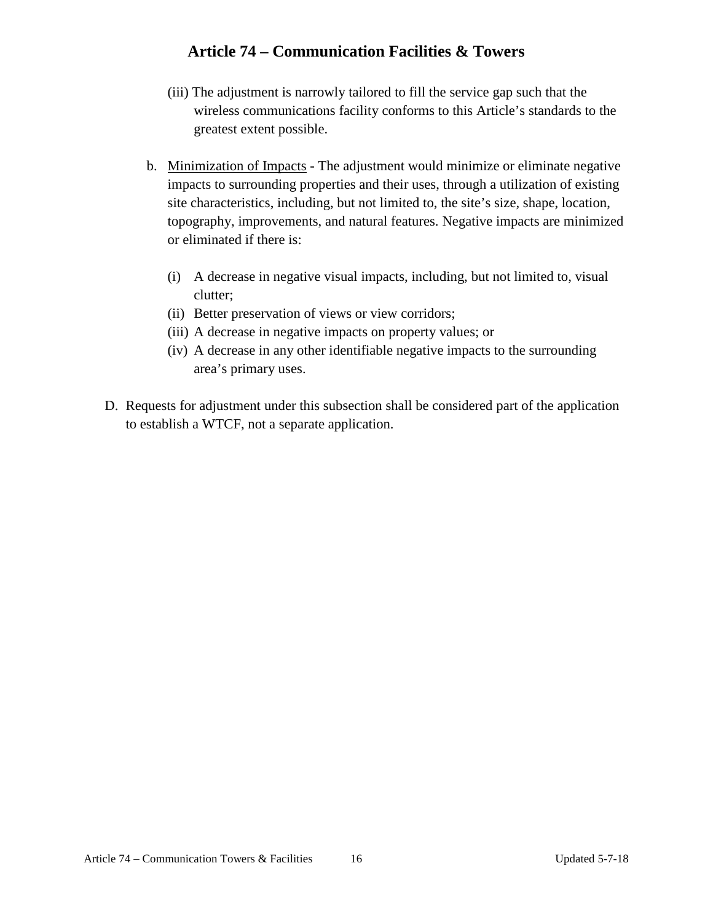- (iii) The adjustment is narrowly tailored to fill the service gap such that the wireless communications facility conforms to this Article's standards to the greatest extent possible.
- b. Minimization of Impacts **-** The adjustment would minimize or eliminate negative impacts to surrounding properties and their uses, through a utilization of existing site characteristics, including, but not limited to, the site's size, shape, location, topography, improvements, and natural features. Negative impacts are minimized or eliminated if there is:
	- (i) A decrease in negative visual impacts, including, but not limited to, visual clutter;
	- (ii) Better preservation of views or view corridors;
	- (iii) A decrease in negative impacts on property values; or
	- (iv) A decrease in any other identifiable negative impacts to the surrounding area's primary uses.
- D. Requests for adjustment under this subsection shall be considered part of the application to establish a WTCF, not a separate application.